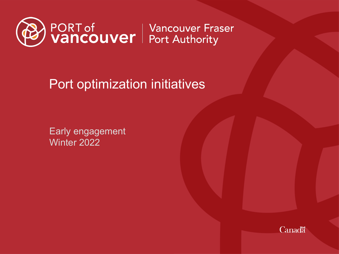

Port optimization initiatives

Early engagement Winter 2022

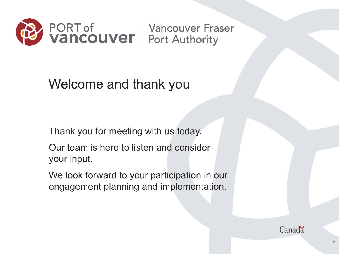

Welcome and thank you

Thank you for meeting with us today.

Our team is here to listen and consider your input.

We look forward to your participation in our engagement planning and implementation.

**Canada**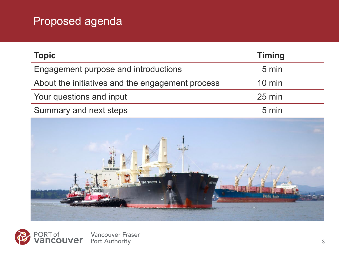### Proposed agenda

| <b>Topic</b>                                     | <b>Timing</b>    |
|--------------------------------------------------|------------------|
| Engagement purpose and introductions             | 5 min            |
| About the initiatives and the engagement process | $10 \text{ min}$ |
| Your questions and input                         | $25 \text{ min}$ |
| Summary and next steps                           | 5 min            |



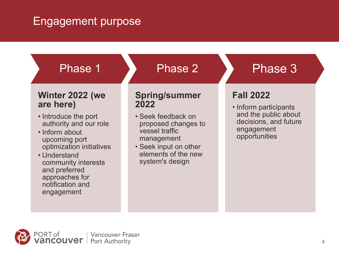#### Engagement purpose



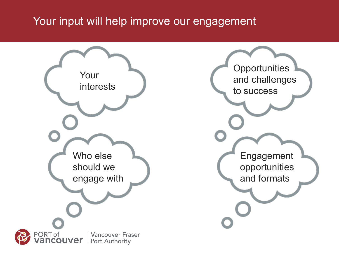#### Your input will help improve our engagement

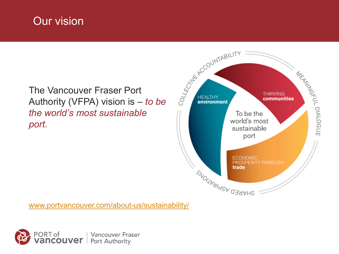#### Our vision

# The Vancouver Fraser Port *the world's most sustainable port.*



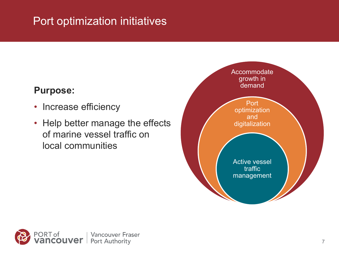### Port optimization initiatives

#### **Purpose:**

- Increase efficiency
- Help better manage the effects of marine vessel traffic on local communities



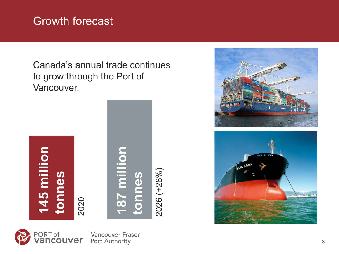#### Growth forecast

Canada's annual trade continues to grow through the Port of Vancouver.







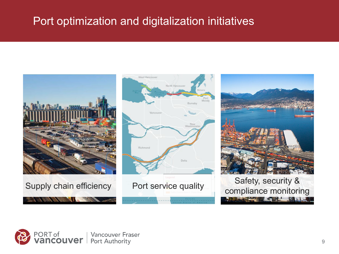#### Port optimization and digitalization initiatives

West Vancouver





North Vano





The Secretary of the Secretary of the Secretary of the Secretary of the Secretary of the Secretary of the Secretary of the Secretary of the Secretary of the Secretary of the Secretary of the Secretary of the Secretary of t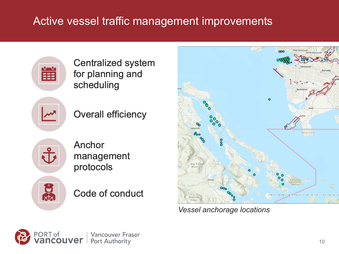## Active vessel traffic management improvements



Centralized system for planning and scheduling



**Overall efficiency** 



Anchor management protocols



Code of conduct



*Vessel anchorage locations*

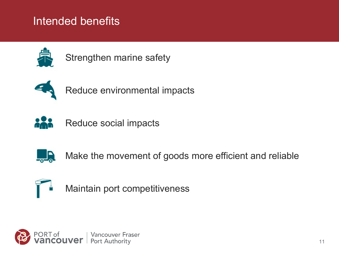#### Intended benefits



Strengthen marine safety



Reduce environmental impacts



Reduce social impacts



Make the movement of goods more efficient and reliable



Maintain port competitiveness

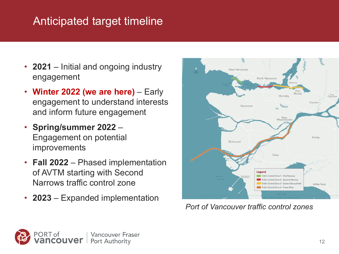### Anticipated target timeline

- **2021** Initial and ongoing industry engagement
- **Winter 2022 (we are here)** Early engagement to understand interests and inform future engagement
- **Spring/summer 2022** Engagement on potential improvements
- **Fall 2022** Phased implementation of AVTM starting with Second Narrows traffic control zone
- **2023**  Expanded implementation



*Port of Vancouver traffic control zones*

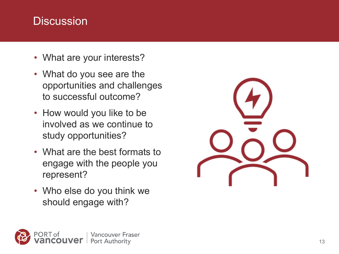#### **Discussion**

- What are your interests?
- What do you see are the opportunities and challenges to successful outcome?
- How would you like to be involved as we continue to study opportunities?
- What are the best formats to engage with the people you represent?
- Who else do you think we should engage with?